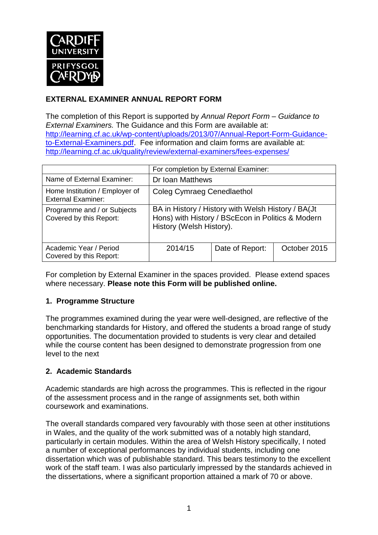

# **EXTERNAL EXAMINER ANNUAL REPORT FORM**

The completion of this Report is supported by *Annual Report Form – Guidance to External Examiners.* The Guidance and this Form are available at: [http://learning.cf.ac.uk/wp-content/uploads/2013/07/Annual-Report-Form-Guidance](http://learning.cf.ac.uk/wp-content/uploads/2013/07/Annual-Report-Form-Guidance-to-External-Examiners.pdf)[to-External-Examiners.pdf.](http://learning.cf.ac.uk/wp-content/uploads/2013/07/Annual-Report-Form-Guidance-to-External-Examiners.pdf) Fee information and claim forms are available at: <http://learning.cf.ac.uk/quality/review/external-examiners/fees-expenses/>

|                                                             | For completion by External Examiner:                                                                                                |                 |              |  |
|-------------------------------------------------------------|-------------------------------------------------------------------------------------------------------------------------------------|-----------------|--------------|--|
| Name of External Examiner:                                  | Dr Ioan Matthews                                                                                                                    |                 |              |  |
| Home Institution / Employer of<br><b>External Examiner:</b> | Coleg Cymraeg Cenedlaethol                                                                                                          |                 |              |  |
| Programme and / or Subjects<br>Covered by this Report:      | BA in History / History with Welsh History / BA(Jt<br>Hons) with History / BScEcon in Politics & Modern<br>History (Welsh History). |                 |              |  |
| Academic Year / Period<br>Covered by this Report:           | 2014/15                                                                                                                             | Date of Report: | October 2015 |  |

For completion by External Examiner in the spaces provided. Please extend spaces where necessary. **Please note this Form will be published online.**

## **1. Programme Structure**

The programmes examined during the year were well-designed, are reflective of the benchmarking standards for History, and offered the students a broad range of study opportunities. The documentation provided to students is very clear and detailed while the course content has been designed to demonstrate progression from one level to the next

## **2. Academic Standards**

Academic standards are high across the programmes. This is reflected in the rigour of the assessment process and in the range of assignments set, both within coursework and examinations.

The overall standards compared very favourably with those seen at other institutions in Wales, and the quality of the work submitted was of a notably high standard, particularly in certain modules. Within the area of Welsh History specifically, I noted a number of exceptional performances by individual students, including one dissertation which was of publishable standard. This bears testimony to the excellent work of the staff team. I was also particularly impressed by the standards achieved in the dissertations, where a significant proportion attained a mark of 70 or above.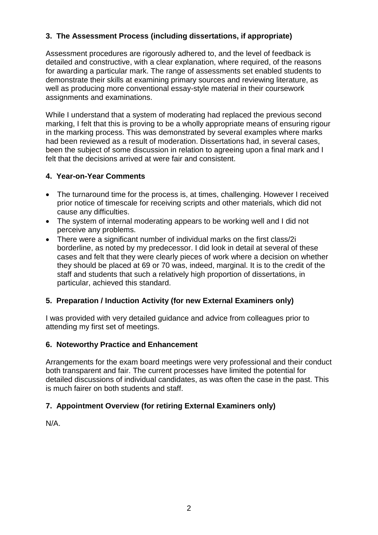# **3. The Assessment Process (including dissertations, if appropriate)**

Assessment procedures are rigorously adhered to, and the level of feedback is detailed and constructive, with a clear explanation, where required, of the reasons for awarding a particular mark. The range of assessments set enabled students to demonstrate their skills at examining primary sources and reviewing literature, as well as producing more conventional essay-style material in their coursework assignments and examinations.

While I understand that a system of moderating had replaced the previous second marking, I felt that this is proving to be a wholly appropriate means of ensuring rigour in the marking process. This was demonstrated by several examples where marks had been reviewed as a result of moderation. Dissertations had, in several cases, been the subject of some discussion in relation to agreeing upon a final mark and I felt that the decisions arrived at were fair and consistent.

#### **4. Year-on-Year Comments**

- The turnaround time for the process is, at times, challenging. However I received prior notice of timescale for receiving scripts and other materials, which did not cause any difficulties.
- The system of internal moderating appears to be working well and I did not perceive any problems.
- There were a significant number of individual marks on the first class/2i borderline, as noted by my predecessor. I did look in detail at several of these cases and felt that they were clearly pieces of work where a decision on whether they should be placed at 69 or 70 was, indeed, marginal. It is to the credit of the staff and students that such a relatively high proportion of dissertations, in particular, achieved this standard.

## **5. Preparation / Induction Activity (for new External Examiners only)**

I was provided with very detailed guidance and advice from colleagues prior to attending my first set of meetings.

## **6. Noteworthy Practice and Enhancement**

Arrangements for the exam board meetings were very professional and their conduct both transparent and fair. The current processes have limited the potential for detailed discussions of individual candidates, as was often the case in the past. This is much fairer on both students and staff.

## **7. Appointment Overview (for retiring External Examiners only)**

N/A.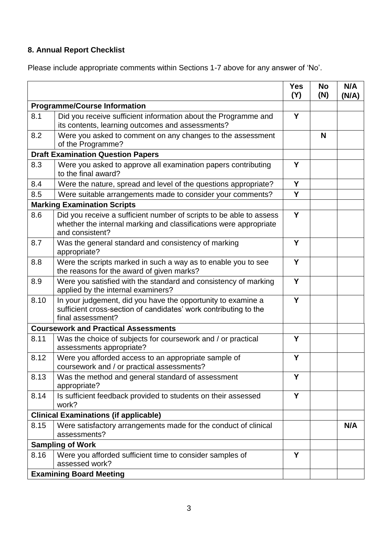# **8. Annual Report Checklist**

Please include appropriate comments within Sections 1-7 above for any answer of 'No'.

|                                          |                                                                                                                                                             | <b>Yes</b><br>(Y) | <b>No</b><br>(N) | N/A<br>(N/A) |
|------------------------------------------|-------------------------------------------------------------------------------------------------------------------------------------------------------------|-------------------|------------------|--------------|
| <b>Programme/Course Information</b>      |                                                                                                                                                             |                   |                  |              |
| 8.1                                      | Did you receive sufficient information about the Programme and<br>its contents, learning outcomes and assessments?                                          | Y                 |                  |              |
| 8.2                                      | Were you asked to comment on any changes to the assessment<br>of the Programme?                                                                             |                   | N                |              |
| <b>Draft Examination Question Papers</b> |                                                                                                                                                             |                   |                  |              |
| 8.3                                      | Were you asked to approve all examination papers contributing<br>to the final award?                                                                        | Y                 |                  |              |
| 8.4                                      | Were the nature, spread and level of the questions appropriate?                                                                                             | Y                 |                  |              |
| 8.5                                      | Were suitable arrangements made to consider your comments?                                                                                                  | Y                 |                  |              |
|                                          | <b>Marking Examination Scripts</b>                                                                                                                          |                   |                  |              |
| 8.6                                      | Did you receive a sufficient number of scripts to be able to assess<br>whether the internal marking and classifications were appropriate<br>and consistent? | Y                 |                  |              |
| 8.7                                      | Was the general standard and consistency of marking<br>appropriate?                                                                                         | Υ                 |                  |              |
| 8.8                                      | Were the scripts marked in such a way as to enable you to see<br>the reasons for the award of given marks?                                                  | Y                 |                  |              |
| 8.9                                      | Were you satisfied with the standard and consistency of marking<br>applied by the internal examiners?                                                       | Y                 |                  |              |
| 8.10                                     | In your judgement, did you have the opportunity to examine a<br>sufficient cross-section of candidates' work contributing to the<br>final assessment?       | Y                 |                  |              |
|                                          | <b>Coursework and Practical Assessments</b>                                                                                                                 |                   |                  |              |
| 8.11                                     | Was the choice of subjects for coursework and / or practical<br>assessments appropriate?                                                                    | Y                 |                  |              |
| 8.12                                     | Were you afforded access to an appropriate sample of<br>coursework and / or practical assessments?                                                          | Υ                 |                  |              |
| 8.13                                     | Was the method and general standard of assessment<br>appropriate?                                                                                           | Y                 |                  |              |
| 8.14                                     | Is sufficient feedback provided to students on their assessed<br>work?                                                                                      | Y                 |                  |              |
|                                          | <b>Clinical Examinations (if applicable)</b>                                                                                                                |                   |                  |              |
| 8.15                                     | Were satisfactory arrangements made for the conduct of clinical<br>assessments?                                                                             |                   |                  | N/A          |
| <b>Sampling of Work</b>                  |                                                                                                                                                             |                   |                  |              |
| 8.16                                     | Were you afforded sufficient time to consider samples of<br>assessed work?                                                                                  | Y                 |                  |              |
| <b>Examining Board Meeting</b>           |                                                                                                                                                             |                   |                  |              |